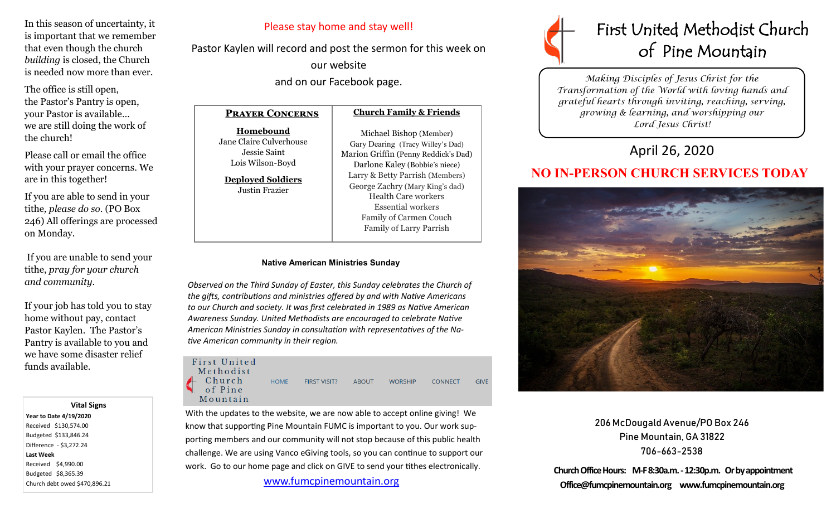In this season of uncertainty, it is important that we remember that even though the church *building* is closed, the Church is needed now more than ever.

The office is still open, the Pastor's Pantry is open, your Pastor is available… we are still doing the work of the church!

Please call or email the office with your prayer concerns. We are in this together!

If you are able to send in your tithe*, please do so*. (PO Box 246) All offerings are processed on Monday.

If you are unable to send your tithe, *pray for your church and community*.

If your job has told you to stay home without pay, contact Pastor Kaylen. The Pastor's Pantry is available to you and we have some disaster relief funds available.

#### **Vital Signs Year to Date 4/19/2020**  Received \$130,574.00 Budgeted \$133,846.24 Difference - \$3,272.24 **Last Week**  Received \$4,990.00 Budgeted \$8,365.39 Church debt owed \$470,896.21

Please stay home and stay well!

Pastor Kaylen will record and post the sermon for this week on

our website

and on our Facebook page.

#### **Church Family & Friends**

**Homebound** Jane Claire Culverhouse Jessie Saint Lois Wilson-Boyd

 **Prayer Concerns**

**Deployed Soldiers** Justin Frazier

Michael Bishop (Member) Gary Dearing (Tracy Willey's Dad) Marion Griffin (Penny Reddick's Dad) Darlone Kaley (Bobbie's niece) Larry & Betty Parrish (Members) George Zachry (Mary King's dad) Health Care workers Essential workers Family of Carmen Couch Family of Larry Parrish

#### **Native American Ministries Sunday**

*Observed on the Third Sunday of Easter, this Sunday celebrates the Church of the gifts, contributions and ministries offered by and with Native Americans to our Church and society. It was first celebrated in 1989 as Native American Awareness Sunday. United Methodists are encouraged to celebrate Native American Ministries Sunday in consultation with representatives of the Native American community in their region.*

First United Methodist Church **HOME FIRST VISIT? ABOUT WORSHIP CONNECT GIVE** of Pine Mountain

With the updates to the website, we are now able to accept online giving! We know that supporting Pine Mountain FUMC is important to you. Our work supporting members and our community will not stop because of this public health challenge. We are using Vanco eGiving tools, so you can continue to support our work. Go to our home page and click on GIVE to send your tithes electronically.

[www.fumcpinemountain.org](http://www.fumcpinemountain.org)



*Making Disciples of Jesus Christ for the Transformation of the World with loving hands and grateful hearts through inviting, reaching, serving, growing & learning, and worshipping our Lord Jesus Christ!* 

### April 26, 2020

## **NO IN-PERSON CHURCH SERVICES TODAY**



206 McDougald Avenue/PO Box 246 Pine Mountain, GA 31822 706-663-2538

**Church Office Hours: M-F 8:30a.m. -12:30p.m. Or by appointment Office@fumcpinemountain.org www.fumcpinemountain.org**